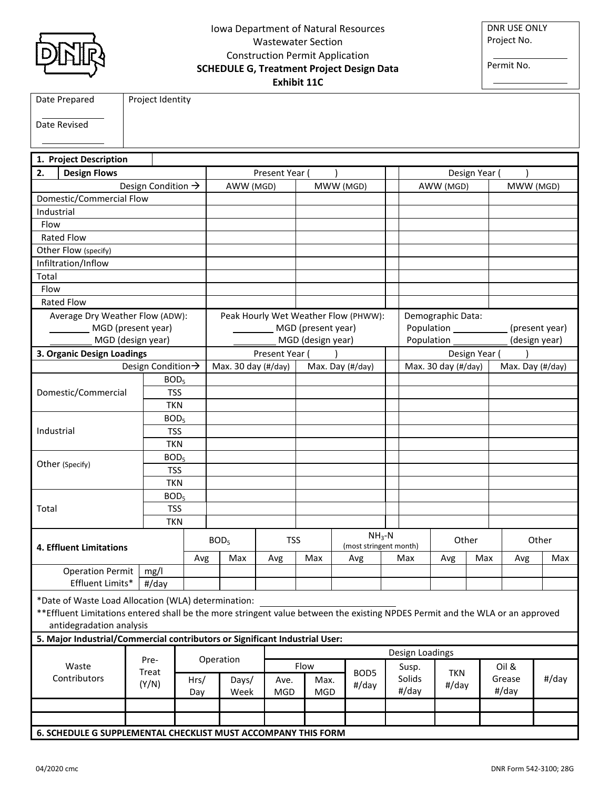## Iowa Department of Natural Resources Wastewater Section Construction Permit Application **SCHEDULE G, Treatment Project Design Data Exhibit 11C**

DNR USE ONLY Project No.

Permit No.

|                                |                                                                                                                                |                  |                    |      |                                      |                     | <b>EXILIDIT TTC</b>               |      |                    |                  |                 |                                     |                     |               |                  |       |  |
|--------------------------------|--------------------------------------------------------------------------------------------------------------------------------|------------------|--------------------|------|--------------------------------------|---------------------|-----------------------------------|------|--------------------|------------------|-----------------|-------------------------------------|---------------------|---------------|------------------|-------|--|
|                                | Date Prepared                                                                                                                  |                  | Project Identity   |      |                                      |                     |                                   |      |                    |                  |                 |                                     |                     |               |                  |       |  |
|                                | Date Revised                                                                                                                   |                  |                    |      |                                      |                     |                                   |      |                    |                  |                 |                                     |                     |               |                  |       |  |
|                                |                                                                                                                                |                  |                    |      |                                      |                     |                                   |      |                    |                  |                 |                                     |                     |               |                  |       |  |
|                                |                                                                                                                                |                  |                    |      |                                      |                     |                                   |      |                    |                  |                 |                                     |                     |               |                  |       |  |
|                                | 1. Project Description                                                                                                         |                  |                    |      |                                      |                     |                                   |      |                    |                  |                 |                                     |                     |               |                  |       |  |
| 2.                             | <b>Design Flows</b>                                                                                                            |                  |                    |      |                                      |                     | Present Year (                    |      |                    |                  |                 |                                     |                     | Design Year ( |                  |       |  |
|                                |                                                                                                                                |                  | Design Condition → |      |                                      | AWW (MGD)           |                                   |      | MWW (MGD)          |                  |                 |                                     | AWW (MGD)           |               | MWW (MGD)        |       |  |
|                                | Domestic/Commercial Flow                                                                                                       |                  |                    |      |                                      |                     |                                   |      |                    |                  |                 |                                     |                     |               |                  |       |  |
| Industrial                     |                                                                                                                                |                  |                    |      |                                      |                     |                                   |      |                    |                  |                 |                                     |                     |               |                  |       |  |
| Flow                           |                                                                                                                                |                  |                    |      |                                      |                     |                                   |      |                    |                  |                 |                                     |                     |               |                  |       |  |
|                                | Rated Flow                                                                                                                     |                  |                    |      |                                      |                     |                                   |      |                    |                  |                 |                                     |                     |               |                  |       |  |
|                                | Other Flow (specify)                                                                                                           |                  |                    |      |                                      |                     |                                   |      |                    |                  |                 |                                     |                     |               |                  |       |  |
|                                | Infiltration/Inflow                                                                                                            |                  |                    |      |                                      |                     |                                   |      |                    |                  |                 |                                     |                     |               |                  |       |  |
| Total                          |                                                                                                                                |                  |                    |      |                                      |                     |                                   |      |                    |                  |                 |                                     |                     |               |                  |       |  |
| Flow                           |                                                                                                                                |                  |                    |      |                                      |                     |                                   |      |                    |                  |                 |                                     |                     |               |                  |       |  |
|                                | <b>Rated Flow</b>                                                                                                              |                  |                    |      |                                      |                     |                                   |      |                    |                  |                 |                                     |                     |               |                  |       |  |
|                                | Average Dry Weather Flow (ADW):                                                                                                |                  |                    |      | Peak Hourly Wet Weather Flow (PHWW): |                     |                                   |      |                    |                  |                 | Demographic Data:                   |                     |               |                  |       |  |
|                                | MGD (present year)                                                                                                             |                  |                    |      |                                      |                     |                                   |      | MGD (present year) |                  |                 | Population ______<br>(present year) |                     |               |                  |       |  |
|                                | MGD (design year)                                                                                                              |                  |                    |      | MGD (design year)                    |                     |                                   |      |                    |                  |                 | Population<br>(design year)         |                     |               |                  |       |  |
|                                | 3. Organic Design Loadings                                                                                                     |                  |                    |      |                                      |                     | Present Year (                    |      |                    |                  |                 | Design Year (                       |                     |               |                  |       |  |
|                                |                                                                                                                                |                  | Design Condition > |      |                                      | Max. 30 day (#/day) |                                   |      |                    | Max. Day (#/day) |                 |                                     | Max. 30 day (#/day) |               | Max. Day (#/day) |       |  |
|                                |                                                                                                                                |                  | BOD <sub>5</sub>   |      |                                      |                     |                                   |      |                    |                  |                 |                                     |                     |               |                  |       |  |
|                                | Domestic/Commercial                                                                                                            |                  | <b>TSS</b>         |      |                                      |                     |                                   |      |                    |                  |                 |                                     |                     |               |                  |       |  |
|                                |                                                                                                                                |                  | <b>TKN</b>         |      |                                      |                     |                                   |      |                    |                  |                 |                                     |                     |               |                  |       |  |
|                                |                                                                                                                                |                  | BOD <sub>5</sub>   |      |                                      |                     |                                   |      |                    |                  |                 |                                     |                     |               |                  |       |  |
| Industrial                     |                                                                                                                                | <b>TSS</b>       |                    |      |                                      |                     |                                   |      |                    |                  |                 |                                     |                     |               |                  |       |  |
|                                |                                                                                                                                | <b>TKN</b>       |                    |      |                                      |                     |                                   |      |                    |                  |                 |                                     |                     |               |                  |       |  |
|                                | Other (Specify)                                                                                                                |                  | BOD <sub>5</sub>   |      |                                      |                     |                                   |      |                    |                  |                 |                                     |                     |               |                  |       |  |
|                                |                                                                                                                                |                  | <b>TSS</b>         |      |                                      |                     |                                   |      |                    |                  |                 |                                     |                     |               |                  |       |  |
|                                |                                                                                                                                |                  | <b>TKN</b>         |      |                                      |                     |                                   |      |                    |                  |                 |                                     |                     |               |                  |       |  |
|                                |                                                                                                                                |                  | BOD <sub>5</sub>   |      |                                      |                     |                                   |      |                    |                  |                 |                                     |                     |               |                  |       |  |
| Total                          |                                                                                                                                |                  | <b>TSS</b>         |      |                                      |                     |                                   |      |                    |                  |                 |                                     |                     |               |                  |       |  |
| <b>TKN</b>                     |                                                                                                                                |                  |                    |      |                                      |                     |                                   |      |                    |                  |                 |                                     |                     |               |                  |       |  |
| <b>4. Effluent Limitations</b> |                                                                                                                                | BOD <sub>5</sub> |                    |      | <b>TSS</b>                           |                     | $NH3-N$<br>(most stringent month) |      |                    | Other            |                 |                                     | Other               |               |                  |       |  |
|                                |                                                                                                                                |                  |                    |      |                                      |                     |                                   |      |                    |                  | Max             |                                     |                     |               | Max              |       |  |
|                                | <b>Operation Permit</b>                                                                                                        |                  | mg/l               | Avg  |                                      | Max                 | Avg                               |      | Max                | Avg              |                 |                                     | Avg                 | Max           | Avg              |       |  |
|                                | Effluent Limits*                                                                                                               |                  | #/day              |      |                                      |                     |                                   |      |                    |                  |                 |                                     |                     |               |                  |       |  |
|                                |                                                                                                                                |                  |                    |      |                                      |                     |                                   |      |                    |                  |                 |                                     |                     |               |                  |       |  |
|                                | *Date of Waste Load Allocation (WLA) determination:                                                                            |                  |                    |      |                                      |                     |                                   |      |                    |                  |                 |                                     |                     |               |                  |       |  |
|                                | ** Effluent Limitations entered shall be the more stringent value between the existing NPDES Permit and the WLA or an approved |                  |                    |      |                                      |                     |                                   |      |                    |                  |                 |                                     |                     |               |                  |       |  |
|                                | antidegradation analysis                                                                                                       |                  |                    |      |                                      |                     |                                   |      |                    |                  |                 |                                     |                     |               |                  |       |  |
|                                | 5. Major Industrial/Commercial contributors or Significant Industrial User:                                                    |                  |                    |      |                                      |                     |                                   |      |                    |                  |                 |                                     |                     |               |                  |       |  |
| Pre-                           |                                                                                                                                |                  |                    |      |                                      | Operation           |                                   |      |                    |                  | Design Loadings |                                     |                     |               |                  |       |  |
| Waste<br>Contributors          |                                                                                                                                |                  | Treat<br>(Y/N)     |      |                                      |                     |                                   | Flow |                    | BOD5             | Susp.           |                                     | <b>TKN</b>          |               | Oil &            |       |  |
|                                |                                                                                                                                |                  |                    | Hrs/ |                                      | Days/               | Ave.                              |      | Max.               | #/day            | Solids          |                                     | #/day               |               | Grease           | #/day |  |
|                                |                                                                                                                                |                  |                    | Day  |                                      | Week                | <b>MGD</b>                        |      | <b>MGD</b>         |                  |                 | #/day                               |                     |               | #/day            |       |  |
|                                |                                                                                                                                |                  |                    |      |                                      |                     |                                   |      |                    |                  |                 |                                     |                     |               |                  |       |  |
|                                |                                                                                                                                |                  |                    |      |                                      |                     |                                   |      |                    |                  |                 |                                     |                     |               |                  |       |  |
|                                | 6. SCHEDULE G SUPPLEMENTAL CHECKLIST MUST ACCOMPANY THIS FORM                                                                  |                  |                    |      |                                      |                     |                                   |      |                    |                  |                 |                                     |                     |               |                  |       |  |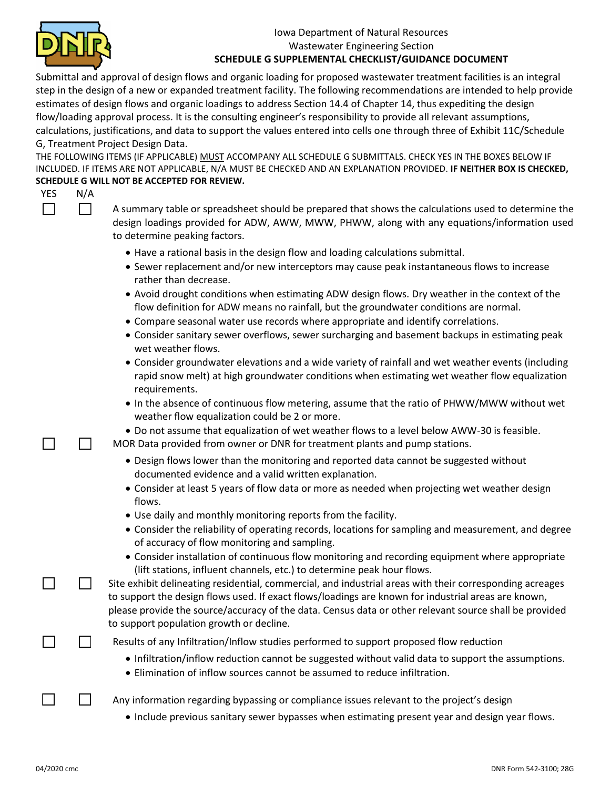

## Iowa Department of Natural Resources Wastewater Engineering Section **SCHEDULE G SUPPLEMENTAL CHECKLIST/GUIDANCE DOCUMENT**

Submittal and approval of design flows and organic loading for proposed wastewater treatment facilities is an integral step in the design of a new or expanded treatment facility. The following recommendations are intended to help provide estimates of design flows and organic loadings to address Section 14.4 of Chapter 14, thus expediting the design flow/loading approval process. It is the consulting engineer's responsibility to provide all relevant assumptions, calculations, justifications, and data to support the values entered into cells one through three of Exhibit 11C/Schedule G, Treatment Project Design Data.

THE FOLLOWING ITEMS (IF APPLICABLE) MUST ACCOMPANY ALL SCHEDULE G SUBMITTALS. CHECK YES IN THE BOXES BELOW IF INCLUDED. IF ITEMS ARE NOT APPLICABLE, N/A MUST BE CHECKED AND AN EXPLANATION PROVIDED. **IF NEITHER BOX IS CHECKED, SCHEDULE G WILL NOT BE ACCEPTED FOR REVIEW.**

| YES | N/A |                                                                                                                                                                                                                                                                                                                                                                       |
|-----|-----|-----------------------------------------------------------------------------------------------------------------------------------------------------------------------------------------------------------------------------------------------------------------------------------------------------------------------------------------------------------------------|
|     |     | A summary table or spreadsheet should be prepared that shows the calculations used to determine the<br>design loadings provided for ADW, AWW, MWW, PHWW, along with any equations/information used<br>to determine peaking factors.                                                                                                                                   |
|     |     | • Have a rational basis in the design flow and loading calculations submittal.<br>• Sewer replacement and/or new interceptors may cause peak instantaneous flows to increase<br>rather than decrease.                                                                                                                                                                 |
|     |     | • Avoid drought conditions when estimating ADW design flows. Dry weather in the context of the<br>flow definition for ADW means no rainfall, but the groundwater conditions are normal.                                                                                                                                                                               |
|     |     | • Compare seasonal water use records where appropriate and identify correlations.<br>• Consider sanitary sewer overflows, sewer surcharging and basement backups in estimating peak<br>wet weather flows.                                                                                                                                                             |
|     |     | • Consider groundwater elevations and a wide variety of rainfall and wet weather events (including<br>rapid snow melt) at high groundwater conditions when estimating wet weather flow equalization<br>requirements.                                                                                                                                                  |
|     |     | • In the absence of continuous flow metering, assume that the ratio of PHWW/MWW without wet<br>weather flow equalization could be 2 or more.                                                                                                                                                                                                                          |
|     |     | . Do not assume that equalization of wet weather flows to a level below AWW-30 is feasible.<br>MOR Data provided from owner or DNR for treatment plants and pump stations.                                                                                                                                                                                            |
|     |     | • Design flows lower than the monitoring and reported data cannot be suggested without<br>documented evidence and a valid written explanation.                                                                                                                                                                                                                        |
|     |     | • Consider at least 5 years of flow data or more as needed when projecting wet weather design<br>flows.                                                                                                                                                                                                                                                               |
|     |     | • Use daily and monthly monitoring reports from the facility.                                                                                                                                                                                                                                                                                                         |
|     |     | • Consider the reliability of operating records, locations for sampling and measurement, and degree<br>of accuracy of flow monitoring and sampling.                                                                                                                                                                                                                   |
|     |     | • Consider installation of continuous flow monitoring and recording equipment where appropriate<br>(lift stations, influent channels, etc.) to determine peak hour flows.                                                                                                                                                                                             |
|     |     | Site exhibit delineating residential, commercial, and industrial areas with their corresponding acreages<br>to support the design flows used. If exact flows/loadings are known for industrial areas are known,<br>please provide the source/accuracy of the data. Census data or other relevant source shall be provided<br>to support population growth or decline. |
|     |     | Results of any Infiltration/Inflow studies performed to support proposed flow reduction                                                                                                                                                                                                                                                                               |
|     |     | • Infiltration/inflow reduction cannot be suggested without valid data to support the assumptions.<br>• Elimination of inflow sources cannot be assumed to reduce infiltration.                                                                                                                                                                                       |
|     |     | Any information regarding bypassing or compliance issues relevant to the project's design                                                                                                                                                                                                                                                                             |
|     |     | • Include previous sanitary sewer bypasses when estimating present year and design year flows.                                                                                                                                                                                                                                                                        |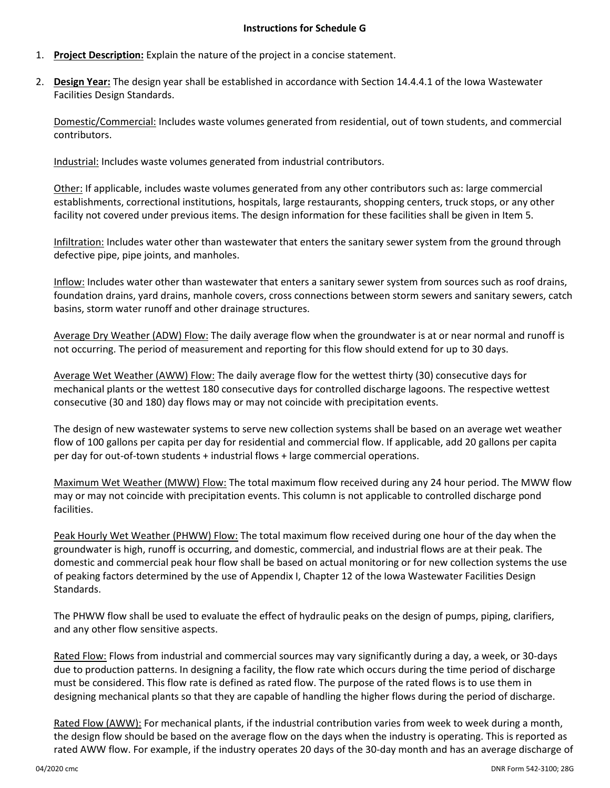## **Instructions for Schedule G**

- 1. **Project Description:** Explain the nature of the project in a concise statement.
- 2. **Design Year:** The design year shall be established in accordance with Section 14.4.4.1 of the Iowa Wastewater Facilities Design Standards.

Domestic/Commercial: Includes waste volumes generated from residential, out of town students, and commercial contributors.

Industrial: Includes waste volumes generated from industrial contributors.

Other: If applicable, includes waste volumes generated from any other contributors such as: large commercial establishments, correctional institutions, hospitals, large restaurants, shopping centers, truck stops, or any other facility not covered under previous items. The design information for these facilities shall be given in Item 5.

Infiltration: Includes water other than wastewater that enters the sanitary sewer system from the ground through defective pipe, pipe joints, and manholes.

Inflow: Includes water other than wastewater that enters a sanitary sewer system from sources such as roof drains, foundation drains, yard drains, manhole covers, cross connections between storm sewers and sanitary sewers, catch basins, storm water runoff and other drainage structures.

Average Dry Weather (ADW) Flow: The daily average flow when the groundwater is at or near normal and runoff is not occurring. The period of measurement and reporting for this flow should extend for up to 30 days.

Average Wet Weather (AWW) Flow: The daily average flow for the wettest thirty (30) consecutive days for mechanical plants or the wettest 180 consecutive days for controlled discharge lagoons. The respective wettest consecutive (30 and 180) day flows may or may not coincide with precipitation events.

The design of new wastewater systems to serve new collection systems shall be based on an average wet weather flow of 100 gallons per capita per day for residential and commercial flow. If applicable, add 20 gallons per capita per day for out-of-town students + industrial flows + large commercial operations.

Maximum Wet Weather (MWW) Flow: The total maximum flow received during any 24 hour period. The MWW flow may or may not coincide with precipitation events. This column is not applicable to controlled discharge pond facilities.

Peak Hourly Wet Weather (PHWW) Flow: The total maximum flow received during one hour of the day when the groundwater is high, runoff is occurring, and domestic, commercial, and industrial flows are at their peak. The domestic and commercial peak hour flow shall be based on actual monitoring or for new collection systems the use of peaking factors determined by the use of Appendix I, Chapter 12 of the Iowa Wastewater Facilities Design Standards.

The PHWW flow shall be used to evaluate the effect of hydraulic peaks on the design of pumps, piping, clarifiers, and any other flow sensitive aspects.

Rated Flow: Flows from industrial and commercial sources may vary significantly during a day, a week, or 30-days due to production patterns. In designing a facility, the flow rate which occurs during the time period of discharge must be considered. This flow rate is defined as rated flow. The purpose of the rated flows is to use them in designing mechanical plants so that they are capable of handling the higher flows during the period of discharge.

Rated Flow (AWW): For mechanical plants, if the industrial contribution varies from week to week during a month, the design flow should be based on the average flow on the days when the industry is operating. This is reported as rated AWW flow. For example, if the industry operates 20 days of the 30-day month and has an average discharge of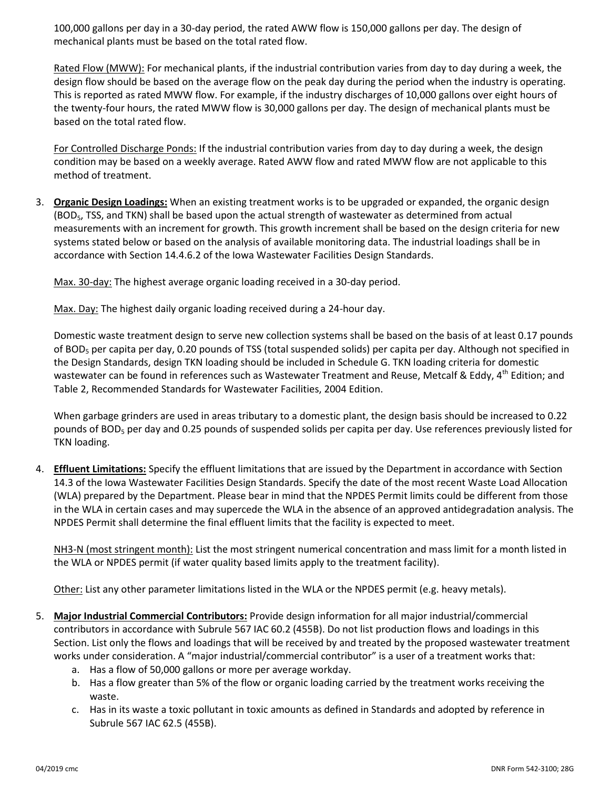100,000 gallons per day in a 30-day period, the rated AWW flow is 150,000 gallons per day. The design of mechanical plants must be based on the total rated flow.

Rated Flow (MWW): For mechanical plants, if the industrial contribution varies from day to day during a week, the design flow should be based on the average flow on the peak day during the period when the industry is operating. This is reported as rated MWW flow. For example, if the industry discharges of 10,000 gallons over eight hours of the twenty-four hours, the rated MWW flow is 30,000 gallons per day. The design of mechanical plants must be based on the total rated flow.

For Controlled Discharge Ponds: If the industrial contribution varies from day to day during a week, the design condition may be based on a weekly average. Rated AWW flow and rated MWW flow are not applicable to this method of treatment.

3. **Organic Design Loadings:** When an existing treatment works is to be upgraded or expanded, the organic design (BOD5, TSS, and TKN) shall be based upon the actual strength of wastewater as determined from actual measurements with an increment for growth. This growth increment shall be based on the design criteria for new systems stated below or based on the analysis of available monitoring data. The industrial loadings shall be in accordance with Section 14.4.6.2 of the Iowa Wastewater Facilities Design Standards.

Max. 30-day: The highest average organic loading received in a 30-day period.

Max. Day: The highest daily organic loading received during a 24-hour day.

Domestic waste treatment design to serve new collection systems shall be based on the basis of at least 0.17 pounds of BOD<sub>5</sub> per capita per day, 0.20 pounds of TSS (total suspended solids) per capita per day. Although not specified in the Design Standards, design TKN loading should be included in Schedule G. TKN loading criteria for domestic wastewater can be found in references such as Wastewater Treatment and Reuse, Metcalf & Eddy, 4<sup>th</sup> Edition; and Table 2, Recommended Standards for Wastewater Facilities, 2004 Edition.

When garbage grinders are used in areas tributary to a domestic plant, the design basis should be increased to 0.22 pounds of BOD<sub>5</sub> per day and 0.25 pounds of suspended solids per capita per day. Use references previously listed for TKN loading.

4. **Effluent Limitations:** Specify the effluent limitations that are issued by the Department in accordance with Section 14.3 of the Iowa Wastewater Facilities Design Standards. Specify the date of the most recent Waste Load Allocation (WLA) prepared by the Department. Please bear in mind that the NPDES Permit limits could be different from those in the WLA in certain cases and may supercede the WLA in the absence of an approved antidegradation analysis. The NPDES Permit shall determine the final effluent limits that the facility is expected to meet.

NH3-N (most stringent month): List the most stringent numerical concentration and mass limit for a month listed in the WLA or NPDES permit (if water quality based limits apply to the treatment facility).

Other: List any other parameter limitations listed in the WLA or the NPDES permit (e.g. heavy metals).

- 5. **Major Industrial Commercial Contributors:** Provide design information for all major industrial/commercial contributors in accordance with Subrule 567 IAC 60.2 (455B). Do not list production flows and loadings in this Section. List only the flows and loadings that will be received by and treated by the proposed wastewater treatment works under consideration. A "major industrial/commercial contributor" is a user of a treatment works that:
	- a. Has a flow of 50,000 gallons or more per average workday.
	- b. Has a flow greater than 5% of the flow or organic loading carried by the treatment works receiving the waste.
	- c. Has in its waste a toxic pollutant in toxic amounts as defined in Standards and adopted by reference in Subrule 567 IAC 62.5 (455B).